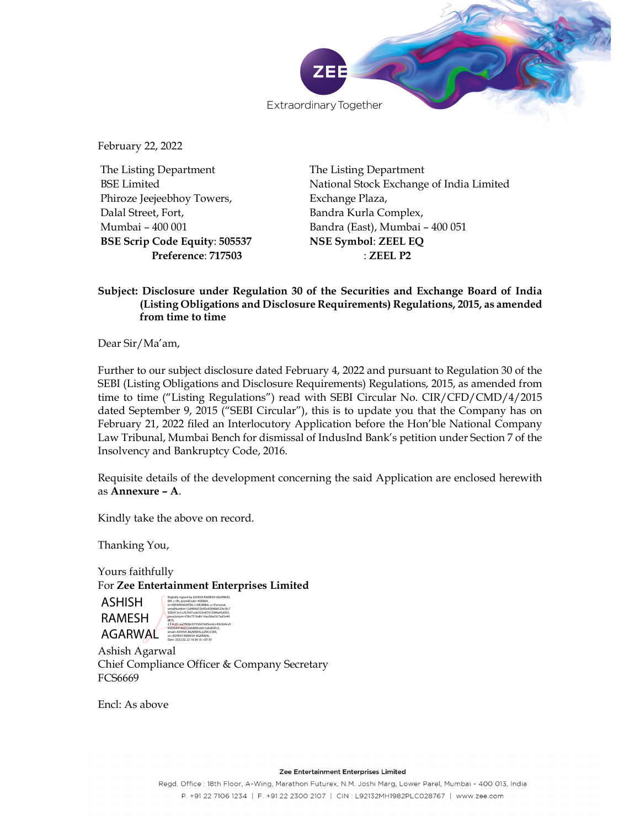

February 22, 2022

The Listing Department BSE Limited Phiroze Jeejeebhoy Towers, Dalal Street, Fort, Mumbai – 400 001 BSE Scrip Code Equity: 505537 Preference: 717503

The Listing Department National Stock Exchange of India Limited Exchange Plaza, Bandra Kurla Complex, Bandra (East), Mumbai – 400 051 NSE Symbol: ZEEL EQ : ZEEL P2

## Subject: Disclosure under Regulation 30 of the Securities and Exchange Board of India (Listing Obligations and Disclosure Requirements) Regulations, 2015, as amended from time to time

Dear Sir/Ma'am,

Further to our subject disclosure dated February 4, 2022 and pursuant to Regulation 30 of the SEBI (Listing Obligations and Disclosure Requirements) Regulations, 2015, as amended from time to time ("Listing Regulations") read with SEBI Circular No. CIR/CFD/CMD/4/2015 dated September 9, 2015 ("SEBI Circular"), this is to update you that the Company has on February 21, 2022 filed an Interlocutory Application before the Hon'ble National Company Law Tribunal, Mumbai Bench for dismissal of IndusInd Bank's petition under Section 7 of the Insolvency and Bankruptcy Code, 2016.

Requisite details of the development concerning the said Application are enclosed herewith as **Annexure – A**.<br>Kindly take the above on record.

Thanking You,

Yours faithfully For Zee Entertainment Enterprises Limited

ASHISH RAMESH AGARWAL EMAIL ASHISH AGARWAL RECOM, df79, Date: 2022.02.22 18:38:16 +05'30'



Ashish Agarwal Chief Compliance Officer & Company Secretary FCS6669

Encl: As above

Zee Entertainment Enterprises Limited